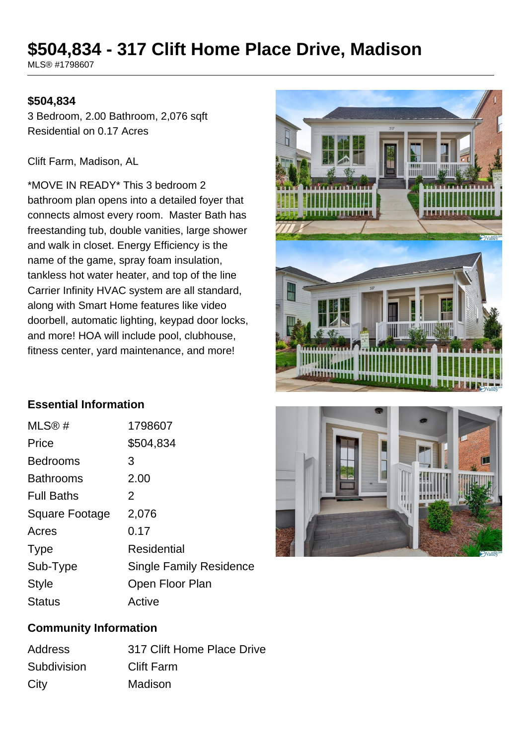# **\$504,834 - 317 Clift Home Place Drive, Madison**

MLS® #1798607

#### **\$504,834**

3 Bedroom, 2.00 Bathroom, 2,076 sqft Residential on 0.17 Acres

#### Clift Farm, Madison, AL

\*MOVE IN READY\* This 3 bedroom 2 bathroom plan opens into a detailed foyer that connects almost every room. Master Bath has freestanding tub, double vanities, large shower and walk in closet. Energy Efficiency is the name of the game, spray foam insulation, tankless hot water heater, and top of the line Carrier Infinity HVAC system are all standard, along with Smart Home features like video doorbell, automatic lighting, keypad door locks, and more! HOA will include pool, clubhouse, fitness center, yard maintenance, and more!



#### **Essential Information**

| MLS®#                 | 1798607                        |
|-----------------------|--------------------------------|
| Price                 | \$504,834                      |
| <b>Bedrooms</b>       | 3                              |
| <b>Bathrooms</b>      | 2.00                           |
| <b>Full Baths</b>     | 2                              |
| <b>Square Footage</b> | 2,076                          |
| Acres                 | 0.17                           |
| <b>Type</b>           | Residential                    |
| Sub-Type              | <b>Single Family Residence</b> |
| <b>Style</b>          | Open Floor Plan                |
| <b>Status</b>         | Active                         |



#### **Community Information**

| <b>Address</b> | 317 Clift Home Place Drive |
|----------------|----------------------------|
| Subdivision    | <b>Clift Farm</b>          |
| City           | Madison                    |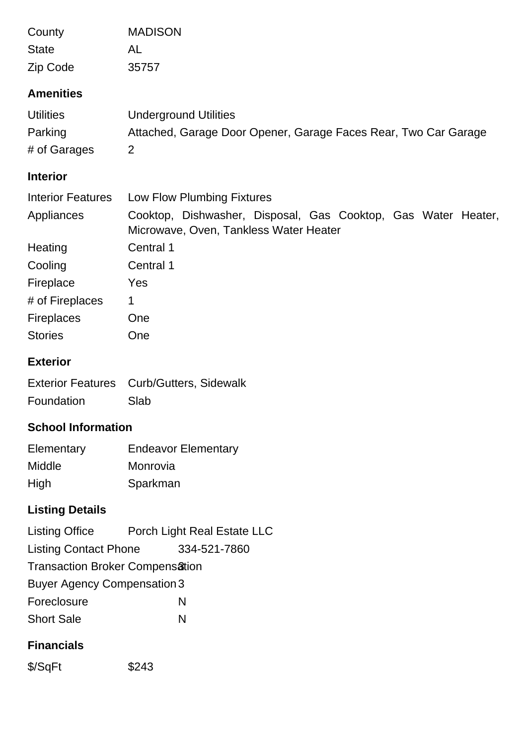| County                    | <b>MADISON</b>                                                                                          |
|---------------------------|---------------------------------------------------------------------------------------------------------|
| <b>State</b>              | AL                                                                                                      |
| Zip Code                  | 35757                                                                                                   |
| <b>Amenities</b>          |                                                                                                         |
| <b>Utilities</b>          | <b>Underground Utilities</b>                                                                            |
| Parking                   | Attached, Garage Door Opener, Garage Faces Rear, Two Car Garage                                         |
| # of Garages              | $\overline{2}$                                                                                          |
| <b>Interior</b>           |                                                                                                         |
| <b>Interior Features</b>  | Low Flow Plumbing Fixtures                                                                              |
| Appliances                | Cooktop, Dishwasher, Disposal, Gas Cooktop, Gas Water Heater,<br>Microwave, Oven, Tankless Water Heater |
| Heating                   | Central 1                                                                                               |
| Cooling                   | Central 1                                                                                               |
| Fireplace                 | Yes                                                                                                     |
| # of Fireplaces           | 1                                                                                                       |
| <b>Fireplaces</b>         | One                                                                                                     |
| <b>Stories</b>            | One                                                                                                     |
| <b>Exterior</b>           |                                                                                                         |
| <b>Exterior Features</b>  | Curb/Gutters, Sidewalk                                                                                  |
| Foundation                | Slab                                                                                                    |
| <b>School Information</b> |                                                                                                         |
| Elementary                | <b>Endeavor Elementary</b>                                                                              |
| Middle                    | Monrovia                                                                                                |
| High                      | Sparkman                                                                                                |

# **Listing Details**

| <b>Listing Office</b>              | Porch Light Real Estate LLC |  |
|------------------------------------|-----------------------------|--|
| <b>Listing Contact Phone</b>       | 334-521-7860                |  |
| Transaction Broker Compensation    |                             |  |
| <b>Buyer Agency Compensation 3</b> |                             |  |
| Foreclosure                        | N                           |  |
| <b>Short Sale</b>                  | N                           |  |

## **Financials**

\$/SqFt \$243